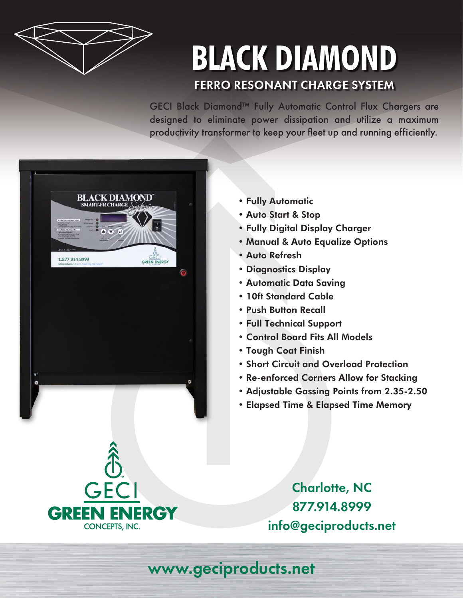

## **BLACK DIAMOND** FERRO RESONANT CHARGE SYSTEM

GECI Black Diamond™ Fully Automatic Control Flux Chargers are designed to eliminate power dissipation and utilize a maximum productivity transformer to keep your fleet up and running efficiently.



- Fully Automatic
- Auto Start & Stop
- Fully Digital Display Charger
- Manual & Auto Equalize Options
- Auto Refresh
- Diagnostics Display
- Automatic Data Saving
- 10ft Standard Cable
- Push Button Recall
- Full Technical Support
- Control Board Fits All Models
- Tough Coat Finish
- Short Circuit and Overload Protection
- Re-enforced Corners Allow for Stacking
- Adjustable Gassing Points from 2.35-2.50
- Elapsed Time & Elapsed Time Memory

Charlotte, NC 877.914.8999 info@geciproducts.net

## www.geciproducts.net